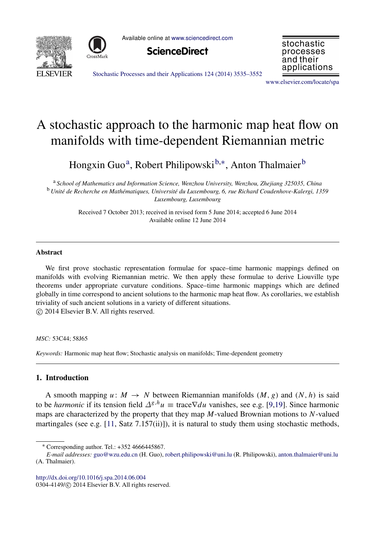



Available online at [www.sciencedirect.com](http://www.elsevier.com/locate/spa)





[Stochastic Processes and their Applications 124 \(2014\) 3535–3552](http://dx.doi.org/10.1016/j.spa.2014.06.004)

[www.elsevier.com/locate/spa](http://www.elsevier.com/locate/spa)

# A stochastic approach to the harmonic map heat flow on manifolds with time-dependent Riemannian metric

Hongxin Guo<sup>[a](#page-0-0)</sup>, Robert Philipowski<sup>[b,](#page-0-1)[∗](#page-0-2)</sup>, Anton Thalmaier<sup>[b](#page-0-1)</sup>

<span id="page-0-1"></span><span id="page-0-0"></span><sup>a</sup> *School of Mathematics and Information Science, Wenzhou University, Wenzhou, Zhejiang 325035, China* <sup>b</sup> *Unite de Recherche en Math ´ ematiques, Universit ´ e du Luxembourg, 6, rue Richard Coudenhove-Kalergi, 1359 ´ Luxembourg, Luxembourg*

> Received 7 October 2013; received in revised form 5 June 2014; accepted 6 June 2014 Available online 12 June 2014

## Abstract

We first prove stochastic representation formulae for space–time harmonic mappings defined on manifolds with evolving Riemannian metric. We then apply these formulae to derive Liouville type theorems under appropriate curvature conditions. Space–time harmonic mappings which are defined globally in time correspond to ancient solutions to the harmonic map heat flow. As corollaries, we establish triviality of such ancient solutions in a variety of different situations. ⃝c 2014 Elsevier B.V. All rights reserved.

*MSC:* 53C44; 58J65

*Keywords:* Harmonic map heat flow; Stochastic analysis on manifolds; Time-dependent geometry

# 1. Introduction

A smooth mapping  $u: M \to N$  between Riemannian manifolds  $(M, g)$  and  $(N, h)$  is said to be *harmonic* if its tension field  $\Delta^{g,h}u \equiv \text{trace} \nabla du$  vanishes, see e.g. [\[9,](#page-16-0)[19\]](#page-17-0). Since harmonic maps are characterized by the property that they map *M*-valued Brownian motions to *N*-valued martingales (see e.g.  $[11, Satz 7.157(ii)]$  $[11, Satz 7.157(ii)]$ ), it is natural to study them using stochastic methods,

<http://dx.doi.org/10.1016/j.spa.2014.06.004>

0304-4149/© 2014 Elsevier B.V. All rights reserved.

<span id="page-0-2"></span><sup>∗</sup> Corresponding author. Tel.: +352 4666445867.

*E-mail addresses:* [guo@wzu.edu.cn](mailto:guo@wzu.edu.cn) (H. Guo), [robert.philipowski@uni.lu](mailto:robert.philipowski@uni.lu) (R. Philipowski), [anton.thalmaier@uni.lu](mailto:anton.thalmaier@uni.lu) (A. Thalmaier).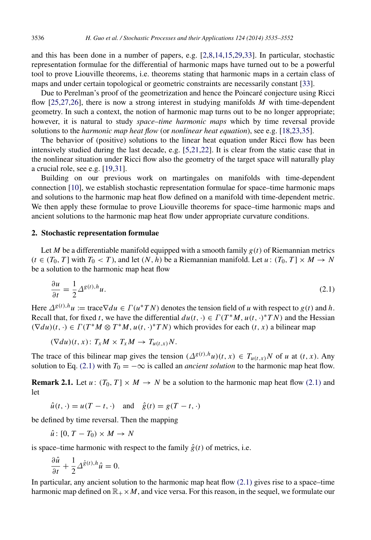and this has been done in a number of papers, e.g. [\[2](#page-16-2)[,8](#page-16-3)[,14](#page-16-4)[,15,](#page-16-5)[29,](#page-17-1)[33\]](#page-17-2). In particular, stochastic representation formulae for the differential of harmonic maps have turned out to be a powerful tool to prove Liouville theorems, i.e. theorems stating that harmonic maps in a certain class of maps and under certain topological or geometric constraints are necessarily constant [\[33\]](#page-17-2).

Due to Perelman's proof of the geometrization and hence the Poincaré conjecture using Ricci flow [\[25,](#page-17-3)[27,](#page-17-4)[26\]](#page-17-5), there is now a strong interest in studying manifolds *M* with time-dependent geometry. In such a context, the notion of harmonic map turns out to be no longer appropriate; however, it is natural to study *space–time harmonic maps* which by time reversal provide solutions to the *harmonic map heat flow* (or *nonlinear heat equation*), see e.g. [\[18](#page-17-6)[,23,](#page-17-7)[35\]](#page-17-8).

The behavior of (positive) solutions to the linear heat equation under Ricci flow has been intensively studied during the last decade, e.g. [\[5](#page-16-6)[,21,](#page-17-9)[22\]](#page-17-10). It is clear from the static case that in the nonlinear situation under Ricci flow also the geometry of the target space will naturally play a crucial role, see e.g. [\[19,](#page-17-0)[31\]](#page-17-11).

Building on our previous work on martingales on manifolds with time-dependent connection [\[10\]](#page-16-7), we establish stochastic representation formulae for space–time harmonic maps and solutions to the harmonic map heat flow defined on a manifold with time-dependent metric. We then apply these formulae to prove Liouville theorems for space–time harmonic maps and ancient solutions to the harmonic map heat flow under appropriate curvature conditions.

## 2. Stochastic representation formulae

Let *M* be a differentiable manifold equipped with a smooth family  $g(t)$  of Riemannian metrics  $(t \in (T_0, T]$  with  $T_0 < T$ , and let  $(N, h)$  be a Riemannian manifold. Let  $u : (T_0, T] \times M \rightarrow N$ be a solution to the harmonic map heat flow

<span id="page-1-0"></span>
$$
\frac{\partial u}{\partial t} = \frac{1}{2} \Delta^{g(t),h} u. \tag{2.1}
$$

Here  $\Delta^{g(t),h}u := \text{trace} \nabla du \in \Gamma(u^*TN)$  denotes the tension field of *u* with respect to  $g(t)$  and *h*. Recall that, for fixed *t*, we have the differential  $du(t, \cdot) \in \Gamma(T^*M, u(t, \cdot)^*TN)$  and the Hessian  $(\nabla du)(t, \cdot) \in \Gamma(T^*M \otimes T^*M, u(t, \cdot)^*TN)$  which provides for each  $(t, x)$  a bilinear map

$$
(\nabla du)(t,x): T_xM \times T_xM \to T_{u(t,x)}N.
$$

The trace of this bilinear map gives the tension  $(\Delta^{g(t),h}u)(t, x) \in T_{u(t,x)}N$  of *u* at  $(t, x)$ . Any solution to Eq. [\(2.1\)](#page-1-0) with  $T_0 = -\infty$  is called an *ancient solution* to the harmonic map heat flow.

**Remark 2.1.** Let  $u : (T_0, T] \times M \rightarrow N$  be a solution to the harmonic map heat flow [\(2.1\)](#page-1-0) and let

$$
\hat{u}(t, \cdot) = u(T - t, \cdot) \quad \text{and} \quad \hat{g}(t) = g(T - t, \cdot)
$$

be defined by time reversal. Then the mapping

 $\hat{u}$ : [0,  $T - T_0 \geq M \rightarrow N$ 

is space–time harmonic with respect to the family  $\hat{g}(t)$  of metrics, i.e.

$$
\frac{\partial \hat{u}}{\partial t} + \frac{1}{2} \Delta^{\hat{g}(t),h} \hat{u} = 0.
$$

In particular, any ancient solution to the harmonic map heat flow  $(2.1)$  gives rise to a space–time harmonic map defined on  $\mathbb{R}_+ \times M$ , and vice versa. For this reason, in the sequel, we formulate our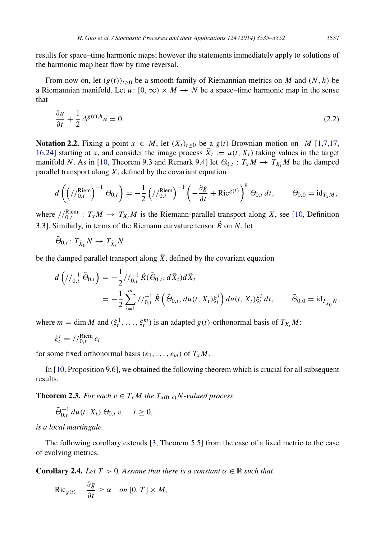results for space–time harmonic maps; however the statements immediately apply to solutions of the harmonic map heat flow by time reversal.

From now on, let  $(g(t))_{t\geq0}$  be a smooth family of Riemannian metrics on *M* and  $(N, h)$  be a Riemannian manifold. Let  $u : [0, \infty) \times M \rightarrow N$  be a space–time harmonic map in the sense that

$$
\frac{\partial u}{\partial t} + \frac{1}{2} \Delta^{g(t),h} u = 0. \tag{2.2}
$$

**Notation 2.2.** Fixing a point *x* ∈ *M*, let  $(X_t)_{t>0}$  be a *g*(*t*)-Brownian motion on *M* [\[1](#page-16-8)[,7](#page-16-9)[,17,](#page-17-12) [16](#page-17-13)[,24\]](#page-17-14) starting at *x*, and consider the image process  $\tilde{X}_t := u(t, X_t)$  taking values in the target manifold *N*. As in [\[10,](#page-16-7) Theorem 9.3 and Remark 9.4] let  $\Theta_{0,t}$ :  $T_xM \to T_{X_t}M$  be the damped parallel transport along *X*, defined by the covariant equation

$$
d\left(\left//_{0,t}^{\text{Riem}}\right)^{-1}\Theta_{0,t}\right)=-\frac{1}{2}\left//_{0,t}^{\text{Riem}}\right)^{-1}\left(-\frac{\partial g}{\partial t}+\text{Ric}^{g(t)}\right)^{\#}\Theta_{0,t}\,dt,\qquad\Theta_{0,0}=\text{id}_{T_xM},
$$

where  $//_{0,t}^{\text{Riem}}: T_xM \rightarrow T_{X_t}M$  is the Riemann-parallel transport along *X*, see [\[10,](#page-16-7) Definition 3.3]. Similarly, in terms of the Riemann curvature tensor  $\tilde{R}$  on *N*, let

$$
\tilde{\Theta}_{0,t} \colon T_{\tilde{X}_0} N \to T_{\tilde{X}_t} N
$$

be the damped parallel transport along  $\tilde{X}$ , defined by the covariant equation

$$
d\left(\frac{1}{0,t}\tilde{\Theta}_{0,t}\right) = -\frac{1}{2}\frac{1}{0,t}\tilde{R}(\tilde{\Theta}_{0,t},d\tilde{X}_t)d\tilde{X}_t
$$
  
= 
$$
-\frac{1}{2}\sum_{i=1}^m \frac{1}{0,t}\tilde{R}\left(\tilde{\Theta}_{0,t},du(t,X_t)\xi_t^i\right)du(t,X_t)\xi_t^i dt, \qquad \tilde{\Theta}_{0,0} = id_{T_{\tilde{X}_0}N},
$$

where  $m = \dim M$  and  $(\xi_t^1, \ldots, \xi_t^m)$  is an adapted  $g(t)$ -orthonormal basis of  $T_{X_t}M$ :

$$
\xi_t^i = //_{0,t}^{\text{Riem}} e_i
$$

for some fixed orthonormal basis  $(e_1, \ldots, e_m)$  of  $T_xM$ .

In [\[10,](#page-16-7) Proposition 9.6], we obtained the following theorem which is crucial for all subsequent results.

**Theorem 2.3.** *For each*  $v \in T_xM$  *the*  $T_{u(0,x)}N$ -valued process

<span id="page-2-0"></span>
$$
\tilde{\Theta}_{0,t}^{-1} du(t, X_t) \Theta_{0,t} v, \quad t \ge 0,
$$

*is a local martingale.*

The following corollary extends [\[3,](#page-16-10) Theorem 5.5] from the case of a fixed metric to the case of evolving metrics.

**Corollary 2.4.** *Let*  $T > 0$ *. Assume that there is a constant*  $\alpha \in \mathbb{R}$  *such that* 

<span id="page-2-1"></span>
$$
\text{Ric}_{g(t)} - \frac{\partial g}{\partial t} \ge \alpha \quad on \, [0, T] \times M,
$$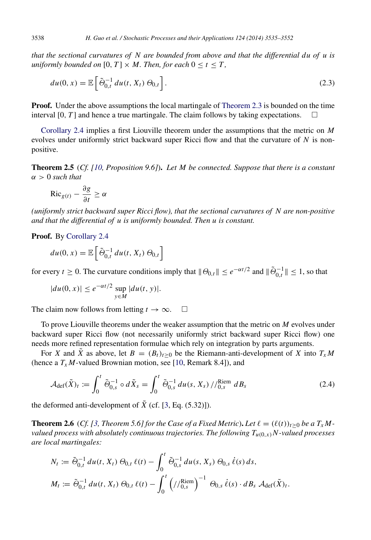*that the sectional curvatures of N are bounded from above and that the differential du of u is uniformly bounded on* [0,  $T$ ]  $\times$  *M. Then, for each*  $0 \le t \le T$ *,* 

$$
du(0, x) = \mathbb{E}\left[\tilde{\Theta}_{0,t}^{-1} du(t, X_t) \Theta_{0,t}\right].
$$
\n(2.3)

**Proof.** Under the above assumptions the local martingale of [Theorem 2.3](#page-2-0) is bounded on the time interval [0, *T*] and hence a true martingale. The claim follows by taking expectations.

[Corollary 2.4](#page-2-1) implies a first Liouville theorem under the assumptions that the metric on *M* evolves under uniformly strict backward super Ricci flow and that the curvature of *N* is nonpositive.

Theorem 2.5 (*Cf. [\[10,](#page-16-7) Proposition 9.6]*). *Let M be connected. Suppose that there is a constant*  $\alpha > 0$  *such that* 

$$
\text{Ric}_{g(t)} - \frac{\partial g}{\partial t} \ge \alpha
$$

*(uniformly strict backward super Ricci flow), that the sectional curvatures of N are non-positive and that the differential of u is uniformly bounded. Then u is constant.*

Proof. By [Corollary 2.4](#page-2-1)

$$
du(0, x) = \mathbb{E}\left[\tilde{\Theta}_{0,t}^{-1} du(t, X_t) \Theta_{0,t}\right]
$$

for every  $t \ge 0$ . The curvature conditions imply that  $\|\Theta_{0,t}\| \le e^{-\alpha t/2}$  and  $\|\tilde{\Theta}_{0,t}^{-1}\| \le 1$ , so that

$$
|du(0, x)| \le e^{-\alpha t/2} \sup_{y \in M} |du(t, y)|.
$$

The claim now follows from letting  $t \to \infty$ .  $\square$ 

To prove Liouville theorems under the weaker assumption that the metric on *M* evolves under backward super Ricci flow (not necessarily uniformly strict backward super Ricci flow) one needs more refined representation formulae which rely on integration by parts arguments.

For *X* and  $\tilde{X}$  as above, let  $B = (B_t)_{t>0}$  be the Riemann-anti-development of *X* into  $T_xM$ (hence a  $T_xM$ -valued Brownian motion, see [\[10,](#page-16-7) Remark 8.4]), and

$$
\mathcal{A}_{\text{def}}(\tilde{X})_t := \int_0^t \tilde{\Theta}_{0,s}^{-1} \circ d\tilde{X}_s = \int_0^t \tilde{\Theta}_{0,s}^{-1} du(s, X_s) / \int_{0,s}^{\text{Riem}} dB_s
$$
\n(2.4)

the deformed anti-development of  $\tilde{X}$  (cf. [\[3,](#page-16-10) Eq. (5.32)]).

<span id="page-3-0"></span>**Theorem 2.6** (*Cf.* [\[3,](#page-16-10) Theorem 5.6] for the Case of a Fixed Metric). Let  $\ell = (\ell(t))_{t>0}$  be a  $T_xM$ *valued process with absolutely continuous trajectories. The following*  $T_{u(0,x)}N$ -valued processes *are local martingales:*

$$
N_t := \tilde{\Theta}_{0,t}^{-1} du(t, X_t) \Theta_{0,t} \ell(t) - \int_0^t \tilde{\Theta}_{0,s}^{-1} du(s, X_s) \Theta_{0,s} \dot{\ell}(s) ds,
$$
  

$$
M_t := \tilde{\Theta}_{0,t}^{-1} du(t, X_t) \Theta_{0,t} \ell(t) - \int_0^t \left( / \int_{0,s}^{\text{Riem}} \right)^{-1} \Theta_{0,s} \dot{\ell}(s) \cdot dB_s A_{\text{def}}(\tilde{X})_t.
$$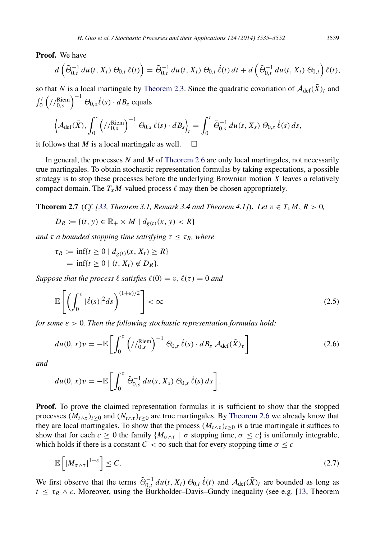Proof. We have

$$
d\left(\tilde{\Theta}_{0,t}^{-1} du(t, X_t) \Theta_{0,t} \ell(t)\right) = \tilde{\Theta}_{0,t}^{-1} du(t, X_t) \Theta_{0,t} \dot{\ell}(t) dt + d\left(\tilde{\Theta}_{0,t}^{-1} du(t, X_t) \Theta_{0,t}\right) \ell(t),
$$

so that *N* is a local martingale by [Theorem 2.3.](#page-2-0) Since the quadratic covariation of  $\mathcal{A}_{def}(\tilde{X})_t$  and  $\int_0^t \left( \frac{\sqrt{\text{Riem}}}{0,s} \right)^{-1} \Theta_{0,s} \dot{\ell}(s) \cdot dB_s$  equals

$$
\left\langle \mathcal{A}_{\text{def}}(\tilde{X}), \int_0^{\cdot} \left( //_{0,s}^{\text{Riem}} \right)^{-1} \Theta_{0,s} \dot{\ell}(s) \cdot dB_s \right\rangle_t = \int_0^t \tilde{\Theta}_{0,s}^{-1} du(s, X_s) \Theta_{0,s} \dot{\ell}(s) ds,
$$

it follows that *M* is a local martingale as well.  $\square$ 

In general, the processes *N* and *M* of [Theorem 2.6](#page-3-0) are only local martingales, not necessarily true martingales. To obtain stochastic representation formulas by taking expectations, a possible strategy is to stop these processes before the underlying Brownian motion *X* leaves a relatively compact domain. The  $T_xM$ -valued process  $\ell$  may then be chosen appropriately.

**Theorem 2.7** (*Cf.* [\[33,](#page-17-2) *Theorem 3.1, Remark 3.4 and Theorem 4.1]*). *Let*  $v \in T_x M$ ,  $R > 0$ ,

$$
D_R := \{(t, y) \in \mathbb{R}_+ \times M \mid d_{g(t)}(x, y) < R\}
$$

*and*  $\tau$  *a bounded stopping time satisfying*  $\tau \leq \tau_R$ *, where* 

$$
\tau_R := \inf\{t \ge 0 \mid d_{g(t)}(x, X_t) \ge R\}
$$
  
=  $\inf\{t \ge 0 \mid (t, X_t) \notin D_R\}.$ 

*Suppose that the process*  $\ell$  *satisfies*  $\ell(0) = v$ ,  $\ell(\tau) = 0$  *and* 

<span id="page-4-2"></span>
$$
\mathbb{E}\left[\left(\int_0^\tau |\dot{\ell}(s)|^2 ds\right)^{(1+\varepsilon)/2}\right] < \infty \tag{2.5}
$$

*for some*  $\varepsilon > 0$ *. Then the following stochastic representation formulas hold:* 

<span id="page-4-1"></span>
$$
du(0, x)v = -\mathbb{E}\left[\int_0^{\tau} \left(\frac{\gamma_{0,s}^{\text{Riem}}}{\gamma_{0,s}}\right)^{-1} \Theta_{0,s} \dot{\ell}(s) \cdot dB_s \mathcal{A}_{\text{def}}(\tilde{X})_{\tau}\right]
$$
(2.6)

*and*

$$
du(0, x)v = -\mathbb{E}\left[\int_0^{\tau} \tilde{\Theta}_{0,s}^{-1} du(s, X_s) \Theta_{0,s} \dot{\ell}(s) ds\right].
$$

**Proof.** To prove the claimed representation formulas it is sufficient to show that the stopped processes  $(M_t \wedge \tau)_{t \geq 0}$  and  $(N_t \wedge \tau)_{t \geq 0}$  are true martingales. By [Theorem 2.6](#page-3-0) we already know that they are local martingales. To show that the process  $(M_t \wedge \tau)_{t \geq 0}$  is a true martingale it suffices to show that for each  $c \ge 0$  the family { $M_{\sigma \wedge \tau}$  |  $\sigma$  stopping time,  $\sigma \le c$ } is uniformly integrable, which holds if there is a constant  $C < \infty$  such that for every stopping time  $\sigma \leq c$ 

<span id="page-4-0"></span>
$$
\mathbb{E}\left[\left|M_{\sigma\wedge\tau}\right|^{1+\varepsilon}\right] \leq C. \tag{2.7}
$$

We first observe that the terms  $\tilde{\Theta}_{0,t}^{-1} du(t, X_t) \Theta_{0,t} \dot{\ell}(t)$  and  $\mathcal{A}_{\text{def}}(\tilde{X})_t$  are bounded as long as  $t \leq \tau_R \wedge c$ . Moreover, using the Burkholder–Davis–Gundy inequality (see e.g. [\[13,](#page-16-11) Theorem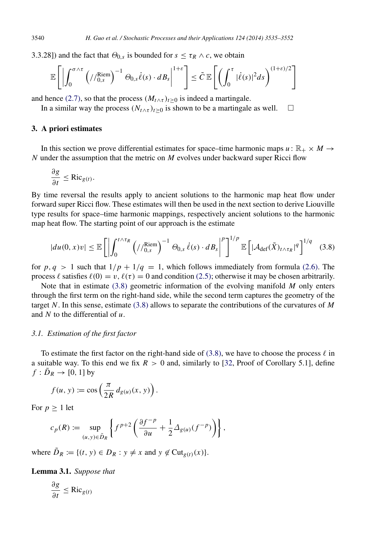3.3.28]) and the fact that  $\Theta_{0,s}$  is bounded for  $s \leq \tau_R \wedge c$ , we obtain

$$
\mathbb{E}\left[\left|\int_0^{\sigma\wedge\tau}\left(\frac{\beta\mathrm{e}}{\beta}\right)^{-1}\Theta_{0,s}\dot{\ell}(s)\cdot dB_s\right|^{1+\varepsilon}\right] \leq \tilde{C}\,\mathbb{E}\left[\left(\int_0^{\tau}|\dot{\ell}(s)|^2ds\right)^{(1+\varepsilon)/2}\right]
$$

and hence [\(2.7\),](#page-4-0) so that the process  $(M<sub>t</sub> \wedge<sub>t</sub>)<sub>t>0</sub>$  is indeed a martingale.

In a similar way the process  $(N_t \wedge \tau)_t > 0$  is shown to be a martingale as well.  $\square$ 

## 3. A priori estimates

In this section we prove differential estimates for space–time harmonic maps  $u : \mathbb{R}_+ \times M \to$ *N* under the assumption that the metric on *M* evolves under backward super Ricci flow

$$
\frac{\partial g}{\partial t} \leq \text{Ric}_{g(t)}.
$$

By time reversal the results apply to ancient solutions to the harmonic map heat flow under forward super Ricci flow. These estimates will then be used in the next section to derive Liouville type results for space–time harmonic mappings, respectively ancient solutions to the harmonic map heat flow. The starting point of our approach is the estimate

<span id="page-5-0"></span>
$$
|du(0,x)v| \leq \mathbb{E}\left[\left|\int_0^{t\wedge\tau_R} \left(\frac{\operatorname{Riem}}{\operatorname{Riem}}\right)^{-1} \Theta_{0,s} \dot{\ell}(s) \cdot dB_s\right|^p\right]^{1/p} \mathbb{E}\left[\left|\mathcal{A}_{\text{def}}(\tilde{X})_{t\wedge\tau_R}\right|^q\right]^{1/q} \tag{3.8}
$$

for  $p, q > 1$  such that  $1/p + 1/q = 1$ , which follows immediately from formula [\(2.6\).](#page-4-1) The process  $\ell$  satisfies  $\ell(0) = v$ ,  $\ell(\tau) = 0$  and condition [\(2.5\);](#page-4-2) otherwise it may be chosen arbitrarily.

Note that in estimate [\(3.8\)](#page-5-0) geometric information of the evolving manifold *M* only enters through the first term on the right-hand side, while the second term captures the geometry of the target *N*. In this sense, estimate [\(3.8\)](#page-5-0) allows to separate the contributions of the curvatures of *M* and *N* to the differential of *u*.

## *3.1. Estimation of the first factor*

To estimate the first factor on the right-hand side of [\(3.8\),](#page-5-0) we have to choose the process  $\ell$  in a suitable way. To this end we fix  $R > 0$  and, similarly to [\[32,](#page-17-15) Proof of Corollary 5.1], define  $f : \overline{D}_R \to [0, 1]$  by

$$
f(u, y) := \cos\left(\frac{\pi}{2R} d_{g(u)}(x, y)\right).
$$

For  $p \geq 1$  let

$$
c_p(R) := \sup_{(u,y)\in \tilde{D}_R} \left\{ f^{p+2} \left( \frac{\partial f^{-p}}{\partial u} + \frac{1}{2} \Delta_{g(u)}(f^{-p}) \right) \right\},\,
$$

where  $\tilde{D}_R := \{(t, y) \in D_R : y \neq x \text{ and } y \notin \text{Cut}_{g(t)}(x)\}.$ 

Lemma 3.1. *Suppose that*

<span id="page-5-1"></span>
$$
\frac{\partial g}{\partial t} \le \text{Ric}_{g(t)}
$$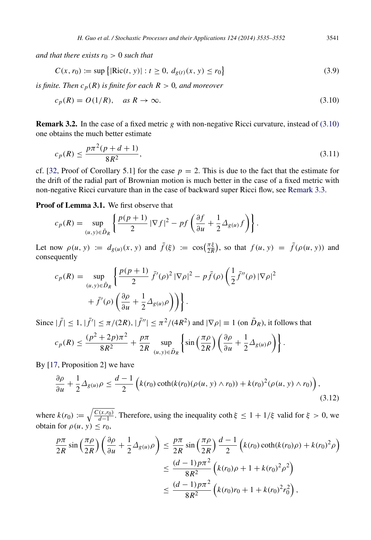*and that there exists*  $r_0 > 0$  *such that* 

$$
C(x, r_0) := \sup\left\{ |\text{Ric}(t, y)| : t \ge 0, \ d_{g(t)}(x, y) \le r_0 \right\}
$$
\n(3.9)

*is finite. Then*  $c_p(R)$  *is finite for each*  $R > 0$ *, and moreover* 

<span id="page-6-4"></span>
$$
c_p(R) = O(1/R), \quad \text{as } R \to \infty. \tag{3.10}
$$

Remark 3.2. In the case of a fixed metric *g* with non-negative Ricci curvature, instead of [\(3.10\)](#page-6-0) one obtains the much better estimate

$$
c_p(R) \le \frac{p\pi^2(p+d+1)}{8R^2},\tag{3.11}
$$

cf. [\[32,](#page-17-15) Proof of Corollary 5.1] for the case  $p = 2$ . This is due to the fact that the estimate for the drift of the radial part of Brownian motion is much better in the case of a fixed metric with non-negative Ricci curvature than in the case of backward super Ricci flow, see [Remark 3.3.](#page-7-0)

Proof of Lemma 3.1. We first observe that

$$
c_p(R) = \sup_{(u,y)\in \tilde{D}_R} \left\{ \frac{p(p+1)}{2} |\nabla f|^2 - pf \left( \frac{\partial f}{\partial u} + \frac{1}{2} \Delta_{g(u)} f \right) \right\}.
$$

Let now  $\rho(u, y) := d_{g(u)}(x, y)$  and  $\bar{f}(\xi) := \cos(\frac{\pi\xi}{2R})$ , so that  $f(u, y) = \bar{f}(\rho(u, y))$  and consequently

$$
c_p(R) = \sup_{(u,y)\in\tilde{D}_R} \left\{ \frac{p(p+1)}{2} \bar{f}'(\rho)^2 |\nabla \rho|^2 - p \bar{f}(\rho) \left( \frac{1}{2} \bar{f}''(\rho) |\nabla \rho|^2 + \bar{f}'(\rho) \left( \frac{\partial \rho}{\partial u} + \frac{1}{2} \Delta_{g(u)} \rho \right) \right) \right\}.
$$

Since  $|\bar{f}| \leq 1$ ,  $|\bar{f}'| \leq \pi/(2R)$ ,  $|\bar{f}''| \leq \pi^2/(4R^2)$  and  $|\nabla \rho| \equiv 1$  (on  $\tilde{D}_R$ ), it follows that

$$
c_p(R) \le \frac{(p^2 + 2p)\pi^2}{8R^2} + \frac{p\pi}{2R} \sup_{(u,y)\in \tilde{D}_R} \left\{ \sin\left(\frac{\pi\rho}{2R}\right) \left(\frac{\partial \rho}{\partial u} + \frac{1}{2} \Delta_{g(u)} \rho\right) \right\}.
$$

By [\[17,](#page-17-12) Proposition 2] we have

<span id="page-6-1"></span>
$$
\frac{\partial \rho}{\partial u} + \frac{1}{2} \Delta_{g(u)} \rho \le \frac{d-1}{2} \left( k(r_0) \coth(k(r_0)(\rho(u, y) \wedge r_0)) + k(r_0)^2 (\rho(u, y) \wedge r_0) \right),\tag{3.12}
$$

where  $k(r_0) := \sqrt{\frac{C(x, r_0)}{d-1}}$ . Therefore, using the inequality coth  $\xi \leq 1 + 1/\xi$  valid for  $\xi > 0$ , we obtain for  $\rho(u, y) \leq r_0$ ,

$$
\frac{p\pi}{2R} \sin\left(\frac{\pi\rho}{2R}\right) \left(\frac{\partial \rho}{\partial u} + \frac{1}{2}\Delta_{g(u)}\rho\right) \le \frac{p\pi}{2R} \sin\left(\frac{\pi\rho}{2R}\right) \frac{d-1}{2} \left(k(r_0)\coth(k(r_0)\rho) + k(r_0)^2\rho\right)
$$
  

$$
\le \frac{(d-1)p\pi^2}{8R^2} \left(k(r_0)\rho + 1 + k(r_0)^2\rho^2\right)
$$
  

$$
\le \frac{(d-1)p\pi^2}{8R^2} \left(k(r_0)r_0 + 1 + k(r_0)^2r_0^2\right),
$$

<span id="page-6-3"></span><span id="page-6-2"></span><span id="page-6-0"></span>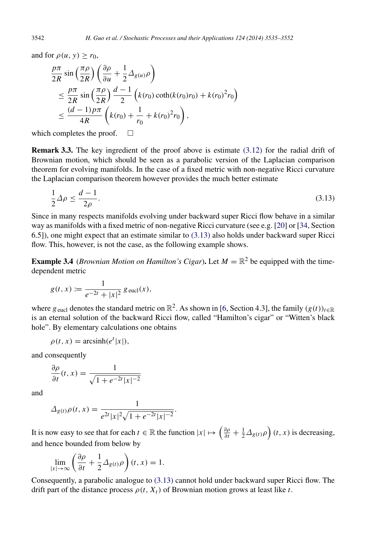and for  $\rho(u, y) \ge r_0$ ,

$$
\frac{p\pi}{2R} \sin\left(\frac{\pi\rho}{2R}\right) \left(\frac{\partial\rho}{\partial u} + \frac{1}{2}\Delta_{g(u)}\rho\right) \n\leq \frac{p\pi}{2R} \sin\left(\frac{\pi\rho}{2R}\right) \frac{d-1}{2} \left(k(r_0)\coth(k(r_0)r_0) + k(r_0)^2r_0\right) \n\leq \frac{(d-1)p\pi}{4R} \left(k(r_0) + \frac{1}{r_0} + k(r_0)^2r_0\right),
$$

which completes the proof.  $\square$ 

<span id="page-7-0"></span>Remark 3.3. The key ingredient of the proof above is estimate [\(3.12\)](#page-6-1) for the radial drift of Brownian motion, which should be seen as a parabolic version of the Laplacian comparison theorem for evolving manifolds. In the case of a fixed metric with non-negative Ricci curvature the Laplacian comparison theorem however provides the much better estimate

<span id="page-7-1"></span>
$$
\frac{1}{2}\Delta \rho \le \frac{d-1}{2\rho}.\tag{3.13}
$$

Since in many respects manifolds evolving under backward super Ricci flow behave in a similar way as manifolds with a fixed metric of non-negative Ricci curvature (see e.g. [\[20\]](#page-17-16) or [\[34,](#page-17-17) Section 6.5]), one might expect that an estimate similar to [\(3.13\)](#page-7-1) also holds under backward super Ricci flow. This, however, is not the case, as the following example shows.

**Example 3.4** (*Brownian Motion on Hamilton's Cigar*). Let  $M = \mathbb{R}^2$  be equipped with the timedependent metric

$$
g(t, x) := \frac{1}{e^{-2t} + |x|^2} g_{\text{eucl}}(x),
$$

where  $g_{\text{eucl}}$  denotes the standard metric on  $\mathbb{R}^2$ . As shown in [\[6,](#page-16-12) Section 4.3], the family  $(g(t))_{t\in\mathbb{R}}$ is an eternal solution of the backward Ricci flow, called "Hamilton's cigar" or "Witten's black hole". By elementary calculations one obtains

$$
\rho(t, x) = \operatorname{arcsinh}(e^t |x|),
$$

and consequently

$$
\frac{\partial \rho}{\partial t}(t, x) = \frac{1}{\sqrt{1 + e^{-2t}|x|^{-2}}}
$$

and

$$
\Delta_{g(t)}\rho(t,x) = \frac{1}{e^{2t}|x|^2\sqrt{1+e^{-2t}|x|^{-2}}}.
$$

It is now easy to see that for each  $t \in \mathbb{R}$  the function  $|x| \mapsto \left(\frac{\partial \rho}{\partial t} + \frac{1}{2}\Delta_{g(t)}\rho\right)(t, x)$  is decreasing, and hence bounded from below by

$$
\lim_{|x| \to \infty} \left( \frac{\partial \rho}{\partial t} + \frac{1}{2} \Delta_{g(t)} \rho \right) (t, x) = 1.
$$

Consequently, a parabolic analogue to [\(3.13\)](#page-7-1) cannot hold under backward super Ricci flow. The drift part of the distance process  $\rho(t, X_t)$  of Brownian motion grows at least like *t*.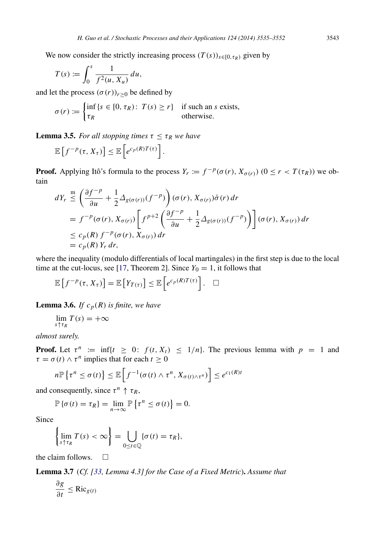We now consider the strictly increasing process  $(T(s))_{s\in[0,\tau_R)}$  given by

$$
T(s) := \int_0^s \frac{1}{f^2(u, X_u)} du,
$$

and let the process  $(\sigma(r))_{r \geq 0}$  be defined by

$$
\sigma(r) := \begin{cases} \inf \{ s \in [0, \tau_R) : T(s) \ge r \} & \text{if such an } s \text{ exists,} \\ \tau_R & \text{otherwise.} \end{cases}
$$

**Lemma 3.5.** *For all stopping times*  $\tau < \tau_R$  *we have* 

$$
\mathbb{E}\left[f^{-p}(\tau,X_{\tau})\right] \leq \mathbb{E}\left[e^{c_p(R)T(\tau)}\right].
$$

**Proof.** Applying Itô's formula to the process  $Y_r := f^{-p}(\sigma(r), X_{\sigma(r)})$   $(0 \le r < T(\tau_R))$  we obtain

$$
dY_r \leq \left(\frac{\partial f^{-p}}{\partial u} + \frac{1}{2} \Delta_{g(\sigma(r))}(f^{-p})\right) (\sigma(r), X_{\sigma(r)}) \dot{\sigma}(r) dr
$$
  
=  $f^{-p}(\sigma(r), X_{\sigma(r)}) \left[f^{p+2} \left(\frac{\partial f^{-p}}{\partial u} + \frac{1}{2} \Delta_{g(\sigma(r))}(f^{-p})\right)\right] (\sigma(r), X_{\sigma(r)}) dr$   
 $\leq c_p(R) f^{-p}(\sigma(r), X_{\sigma(r)}) dr$   
=  $c_p(R) Y_r dr$ ,

where the inequality (modulo differentials of local martingales) in the first step is due to the local time at the cut-locus, see [\[17,](#page-17-12) Theorem 2]. Since  $Y_0 = 1$ , it follows that

$$
\mathbb{E}\left[f^{-p}(\tau,X_{\tau})\right] = \mathbb{E}\left[Y_{T(\tau)}\right] \leq \mathbb{E}\left[e^{c_p(R)T(\tau)}\right]. \quad \Box
$$

**Lemma 3.6.** *If*  $c_p(R)$  *is finite, we have* 

$$
\lim_{s \uparrow \tau_R} T(s) = +\infty
$$

*almost surely.*

**Proof.** Let  $\tau^n := \inf\{t \geq 0: f(t, X_t) \leq 1/n\}$ . The previous lemma with  $p = 1$  and  $\tau = \sigma(t) \wedge \tau^n$  implies that for each  $t \ge 0$ 

$$
n\mathbb{P}\left\{\tau^n \leq \sigma(t)\right\} \leq \mathbb{E}\left[f^{-1}(\sigma(t) \wedge \tau^n, X_{\sigma(t) \wedge \tau^n})\right] \leq e^{c_1(R)t}
$$

and consequently, since  $\tau^n \uparrow \tau_R$ ,

$$
\mathbb{P}\left\{\sigma(t)=\tau_R\right\}=\lim_{n\to\infty}\mathbb{P}\left\{\tau^n\leq\sigma(t)\right\}=0.
$$

Since

$$
\left\{\lim_{s\uparrow\tau_R}T(s)<\infty\right\}=\bigcup_{0\leq t\in\mathbb{Q}}\{\sigma(t)=\tau_R\},\
$$

the claim follows.  $\Box$ 

Lemma 3.7 (*Cf. [\[33,](#page-17-2) Lemma 4.3] for the Case of a Fixed Metric*). *Assume that*

<span id="page-8-0"></span>
$$
\frac{\partial g}{\partial t} \leq \text{Ric}_{g(t)}
$$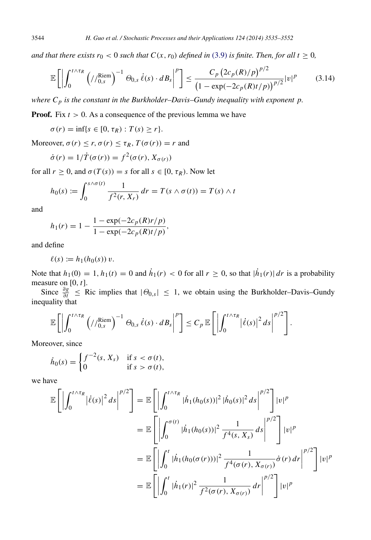*and that there exists r*<sub>0</sub> < 0 *such that*  $C(x, r_0)$  *defined in* [\(3.9\)](#page-6-2) *is finite. Then, for all t*  $\geq$  0*,* 

$$
\mathbb{E}\left[\left|\int_{0}^{t\wedge\tau_{R}}\left(\frac{\left|R\right|\sin\theta}{\sin\theta}\right)^{-1}\Theta_{0,s}\dot{\ell}(s)\cdot dB_{s}\right|^{p}\right]\leq\frac{C_{p}\left(2c_{p}(R)/p\right)^{p/2}}{\left(1-\exp(-2c_{p}(R)t/p)\right)^{p/2}}|v|^{p} \qquad(3.14)
$$

*where C<sup>p</sup> is the constant in the Burkholder–Davis–Gundy inequality with exponent p.*

**Proof.** Fix  $t > 0$ . As a consequence of the previous lemma we have

 $\sigma(r) = \inf\{s \in [0, \tau_R) : T(s) \geq r\}.$ 

Moreover,  $\sigma(r) \leq r$ ,  $\sigma(r) \leq \tau_R$ ,  $T(\sigma(r)) = r$  and

$$
\dot{\sigma}(r) = 1/\dot{T}(\sigma(r)) = f^2(\sigma(r), X_{\sigma(r)})
$$

for all  $r \geq 0$ , and  $\sigma(T(s)) = s$  for all  $s \in [0, \tau_R)$ . Now let

$$
h_0(s) := \int_0^{s \wedge \sigma(t)} \frac{1}{f^2(r, X_r)} dr = T(s \wedge \sigma(t)) = T(s) \wedge t
$$

and

$$
h_1(r) = 1 - \frac{1 - \exp(-2c_p(R)r/p)}{1 - \exp(-2c_p(R)t/p)},
$$

and define

$$
\ell(s) := h_1(h_0(s)) v.
$$

Note that  $h_1(0) = 1$ ,  $h_1(t) = 0$  and  $\dot{h}_1(r) < 0$  for all  $r \ge 0$ , so that  $|\dot{h}_1(r)| dr$  is a probability measure on [0, *t*].

Since  $\frac{\partial g}{\partial t} \leq$  Ric implies that  $|\Theta_{0,s}| \leq 1$ , we obtain using the Burkholder–Davis–Gundy inequality that

$$
\mathbb{E}\left[\left|\int_0^{t\wedge\tau_R}\left(\frac{\chi_{\text{lem}}}{\chi_{0,s}}\right)^{-1}\Theta_{0,s}\,\dot{\ell}(s)\cdot dB_s\right|^p\right]\leq C_p\,\mathbb{E}\left[\left|\int_0^{t\wedge\tau_R}\left|\dot{\ell}(s)\right|^2ds\right|^{p/2}\right].
$$

Moreover, since

$$
\dot{h}_0(s) = \begin{cases} f^{-2}(s, X_s) & \text{if } s < \sigma(t), \\ 0 & \text{if } s > \sigma(t), \end{cases}
$$

we have

$$
\mathbb{E}\left[\left|\int_{0}^{t\wedge\tau_{R}}\left|\dot{\ell}(s)\right|^{2}ds\right|^{p/2}\right] = \mathbb{E}\left[\left|\int_{0}^{t\wedge\tau_{R}}\left|\dot{h}_{1}(h_{0}(s))\right|^{2}\left|\dot{h}_{0}(s)\right|^{2}ds\right|^{p/2}\right]|v|^{p}
$$
\n
$$
= \mathbb{E}\left[\left|\int_{0}^{\sigma(t)}\left|\dot{h}_{1}(h_{0}(s))\right|^{2}\frac{1}{f^{4}(s,X_{s})}ds\right|^{p/2}\right]|v|^{p}
$$
\n
$$
= \mathbb{E}\left[\left|\int_{0}^{t}\left|\dot{h}_{1}(h_{0}(\sigma(r)))\right|^{2}\frac{1}{f^{4}(\sigma(r), X_{\sigma(r)})}\dot{\sigma}(r)dr\right|^{p/2}\right]|v|^{p}
$$
\n
$$
= \mathbb{E}\left[\left|\int_{0}^{t}\left|\dot{h}_{1}(r)\right|^{2}\frac{1}{f^{2}(\sigma(r), X_{\sigma(r)})}dr\right|^{p/2}\right]|v|^{p}
$$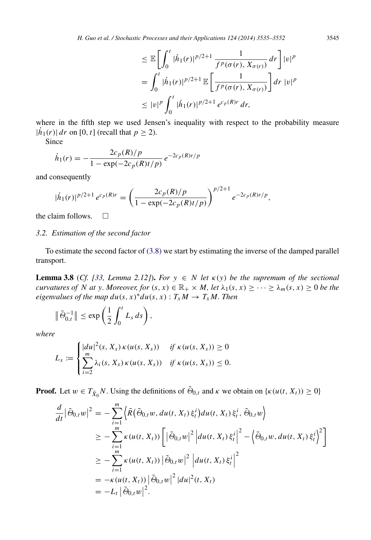$$
\leq \mathbb{E}\bigg[\int_0^t |\dot{h}_1(r)|^{p/2+1} \frac{1}{f^p(\sigma(r), X_{\sigma(r)})} dr\bigg] |v|^p
$$
  
= 
$$
\int_0^t |\dot{h}_1(r)|^{p/2+1} \mathbb{E}\bigg[\frac{1}{f^p(\sigma(r), X_{\sigma(r)})}\bigg] dr |v|^p
$$
  

$$
\leq |v|^p \int_0^t |\dot{h}_1(r)|^{p/2+1} e^{c_p(R)r} dr,
$$

where in the fifth step we used Jensen's inequality with respect to the probability measure  $|\dot{h}_1(r)| dr$  on [0, *t*] (recall that  $p \ge 2$ ).

Since

$$
\dot{h}_1(r) = -\frac{2c_p(R)/p}{1 - \exp(-2c_p(R)t/p)} e^{-2c_p(R)t/p}
$$

and consequently

$$
|\dot{h}_1(r)|^{p/2+1} e^{c_p(R)r} = \left(\frac{2c_p(R)/p}{1 - \exp(-2c_p(R)t/p)}\right)^{p/2+1} e^{-2c_p(R)r/p},
$$

the claim follows.  $\square$ 

## *3.2. Estimation of the second factor*

To estimate the second factor of [\(3.8\)](#page-5-0) we start by estimating the inverse of the damped parallel transport.

<span id="page-10-0"></span>**Lemma 3.8** (*Cf.* [\[33,](#page-17-2) *Lemma 2.12]*). *For*  $y \in N$  *let*  $\kappa(y)$  *be the supremum of the sectional curvatures of N at y. Moreover, for*  $(s, x) \in \mathbb{R}_+ \times M$ , let  $\lambda_1(s, x) \geq \cdots \geq \lambda_m(s, x) \geq 0$  be the *eigenvalues of the map*  $du(s, x)^* du(s, x) : T_x M \to T_x M$ *. Then* 

$$
\|\tilde{\Theta}_{0,t}^{-1}\|\leq \exp\left(\frac{1}{2}\int_0^t L_s ds\right),\,
$$

*where*

$$
L_s := \begin{cases} |du|^2(s, X_s) \kappa(u(s, X_s)) & \text{if } \kappa(u(s, X_s)) \geq 0 \\ \sum_{i=2}^m \lambda_i(s, X_s) \kappa(u(s, X_s)) & \text{if } \kappa(u(s, X_s)) \leq 0. \end{cases}
$$

**Proof.** Let  $w \in T_{\tilde{X}_0}N$ . Using the definitions of  $\tilde{\Theta}_{0,t}$  and  $\kappa$  we obtain on  $\{\kappa(u(t, X_t)) \ge 0\}$ 

$$
\frac{d}{dt}|\tilde{\Theta}_{0,t}w|^2 = -\sum_{i=1}^m \left\langle \tilde{R}(\tilde{\Theta}_{0,t}w, du(t, X_t) \xi_t^i) du(t, X_t) \xi_t^i, \tilde{\Theta}_{0,t}w \right\rangle
$$
\n
$$
\geq -\sum_{i=1}^m \kappa(u(t, X_t)) \left[ |\tilde{\Theta}_{0,t}w|^2 \left| du(t, X_t) \xi_t^i \right|^2 - \left\langle \tilde{\Theta}_{0,t}w, du(t, X_t) \xi_t^i \right\rangle^2 \right]
$$
\n
$$
\geq -\sum_{i=1}^m \kappa(u(t, X_t)) \left| \tilde{\Theta}_{0,t}w \right|^2 \left| du(t, X_t) \xi_t^i \right|^2
$$
\n
$$
= -\kappa(u(t, X_t)) \left| \tilde{\Theta}_{0,t}w \right|^2 |du|^2(t, X_t)
$$
\n
$$
= -L_t \left| \tilde{\Theta}_{0,t}w \right|^2.
$$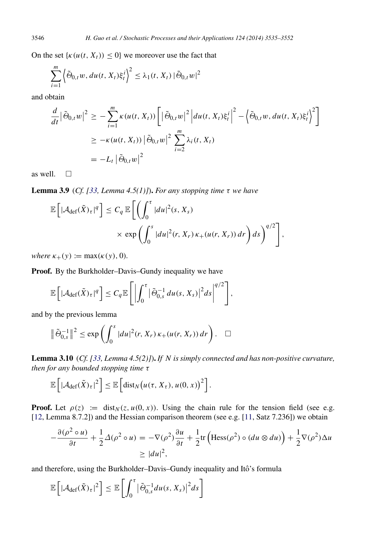On the set  $\{k(u(t, X_t)) \leq 0\}$  we moreover use the fact that

$$
\sum_{i=1}^m \left\langle \tilde{\Theta}_{0,t} w, du(t, X_t) \xi_t^i \right\rangle^2 \leq \lambda_1(t, X_t) \left| \tilde{\Theta}_{0,t} w \right|^2
$$

and obtain

$$
\frac{d}{dt}|\tilde{\Theta}_{0,t}w|^2 \geq -\sum_{i=1}^m \kappa(u(t, X_t)) \left[ |\tilde{\Theta}_{0,t}w|^2 \left| du(t, X_t) \xi_t^i \right|^2 - \left\langle \tilde{\Theta}_{0,t}w, du(t, X_t) \xi_t^i \right\rangle^2 \right]
$$
\n
$$
\geq -\kappa(u(t, X_t)) |\tilde{\Theta}_{0,t}w|^2 \sum_{i=2}^m \lambda_i(t, X_t)
$$
\n
$$
= -L_t |\tilde{\Theta}_{0,t}w|^2
$$

as well.  $\square$ 

Lemma 3.9 (*Cf. [\[33,](#page-17-2) Lemma 4.5(1)]*). *For any stopping time* τ *we have*

<span id="page-11-1"></span>
$$
\mathbb{E}\left[|\mathcal{A}_{\text{def}}(\tilde{X})_{\tau}|^{q}\right] \leq C_{q} \mathbb{E}\left[\left(\int_{0}^{\tau} |du|^{2}(s, X_{s})\right) \times \exp\left(\int_{0}^{s} |du|^{2}(r, X_{r}) \kappa_{+}(u(r, X_{r})) dr\right) ds\right)^{q/2}\right],
$$

*where*  $\kappa_{+}(y) := \max(\kappa(y), 0)$ *.* 

Proof. By the Burkholder–Davis–Gundy inequality we have

$$
\mathbb{E}\left[|\mathcal{A}_{\mathrm{def}}(\tilde{X})_{\tau}|^{q}\right] \leq C_{q}\mathbb{E}\left[\left|\int_{0}^{\tau}|\tilde{\Theta}_{0,s}^{-1}du(s,X_{s})|^{2}ds\right|^{q/2}\right],
$$

and by the previous lemma

$$
\|\tilde{\Theta}_{0,s}^{-1}\|^2 \leq \exp\left(\int_0^s |du|^2(r, X_r)\,\kappa_+(u(r, X_r))\,dr\right). \quad \Box
$$

Lemma 3.10 (*Cf. [\[33,](#page-17-2) Lemma 4.5(2)]*). *If N is simply connected and has non-positive curvature, then for any bounded stopping time* τ

<span id="page-11-0"></span>
$$
\mathbb{E}\left[\left|\mathcal{A}_{\text{def}}(\tilde{X})_{\tau}\right|^{2}\right] \leq \mathbb{E}\left[\text{dist}_{N}\big(u(\tau, X_{\tau}), u(0, x)\big)^{2}\right].
$$

**Proof.** Let  $\rho(z) := \text{dist}_{N}(z, u(0, x))$ . Using the chain rule for the tension field (see e.g. [\[12,](#page-16-13) Lemma 8.7.2]) and the Hessian comparison theorem (see e.g. [\[11,](#page-16-1) Satz 7.236]) we obtain

$$
-\frac{\partial(\rho^2 \circ u)}{\partial t} + \frac{1}{2}\Delta(\rho^2 \circ u) = -\nabla(\rho^2)\frac{\partial u}{\partial t} + \frac{1}{2}\text{tr}\left(\text{Hess}(\rho^2) \circ (du \otimes du)\right) + \frac{1}{2}\nabla(\rho^2)\Delta u
$$
  
\n
$$
\geq |du|^2,
$$

and therefore, using the Burkholder–Davis–Gundy inequality and Itô's formula

$$
\mathbb{E}\left[\left|\mathcal{A}_{\text{def}}(\tilde{X})_{\tau}\right|^{2}\right] \leq \mathbb{E}\left[\int_{0}^{\tau}\left|\tilde{\Theta}_{0,s}^{-1}du(s,X_{s})\right|^{2}ds\right]
$$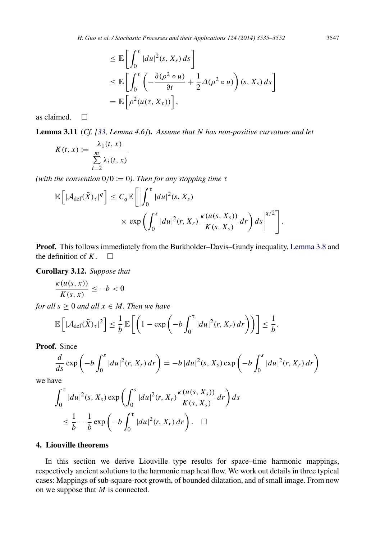$$
\leq \mathbb{E}\left[\int_0^{\tau} |du|^2(s, X_s) ds\right]
$$
  
\n
$$
\leq \mathbb{E}\left[\int_0^{\tau} \left(-\frac{\partial(\rho^2 \circ u)}{\partial t} + \frac{1}{2}\Delta(\rho^2 \circ u)\right)(s, X_s) ds\right]
$$
  
\n
$$
= \mathbb{E}\left[\rho^2(u(\tau, X_{\tau}))\right],
$$

as claimed.  $\square$ 

Lemma 3.11 (*Cf. [\[33,](#page-17-2) Lemma 4.6]*). *Assume that N has non-positive curvature and let*

$$
K(t, x) := \frac{\lambda_1(t, x)}{\sum_{i=2}^{m} \lambda_i(t, x)}
$$

*(with the convention*  $0/0 := 0$ *). Then for any stopping time*  $\tau$ 

$$
\mathbb{E}\left[\left|\mathcal{A}_{\text{def}}(\tilde{X})_{\tau}\right|^{q}\right] \leq C_{q} \mathbb{E}\left[\left|\int_{0}^{\tau} |du|^{2}(s, X_{s})\right| \times \exp\left(\int_{0}^{s} |du|^{2}(r, X_{r}) \frac{\kappa(u(s, X_{s}))}{K(s, X_{s})} dr\right) ds\right|^{q/2}\right].
$$

Proof. This follows immediately from the Burkholder–Davis–Gundy inequality, [Lemma 3.8](#page-10-0) and the definition of  $K$ .  $\square$ 

Corollary 3.12. *Suppose that*

<span id="page-12-0"></span>
$$
\frac{\kappa(u(s,x))}{K(s,x)} \le -b < 0
$$

*for all*  $s \geq 0$  *and all*  $x \in M$ *. Then we have* 

$$
\mathbb{E}\left[|\mathcal{A}_{\text{def}}(\tilde{X})_{\tau}|^{2}\right] \leq \frac{1}{b}\mathbb{E}\left[\left(1-\exp\left(-b\int_{0}^{\tau}|du|^{2}(r,X_{r}) dr\right)\right)\right] \leq \frac{1}{b}.
$$

Proof. Since

$$
\frac{d}{ds}\exp\left(-b\int_0^s|du|^2(r,X_r)\,dr\right)=-b\,|du|^2(s,X_s)\exp\left(-b\int_0^s|du|^2(r,X_r)\,dr\right)
$$

we have

$$
\int_0^{\tau} |du|^2(s, X_s) \exp\left(\int_0^s |du|^2(r, X_r) \frac{\kappa(u(s, X_s))}{K(s, X_s)} dr\right) ds
$$
  

$$
\leq \frac{1}{b} - \frac{1}{b} \exp\left(-b \int_0^{\tau} |du|^2(r, X_r) dr\right). \quad \Box
$$

## 4. Liouville theorems

In this section we derive Liouville type results for space–time harmonic mappings, respectively ancient solutions to the harmonic map heat flow. We work out details in three typical cases: Mappings of sub-square-root growth, of bounded dilatation, and of small image. From now on we suppose that *M* is connected.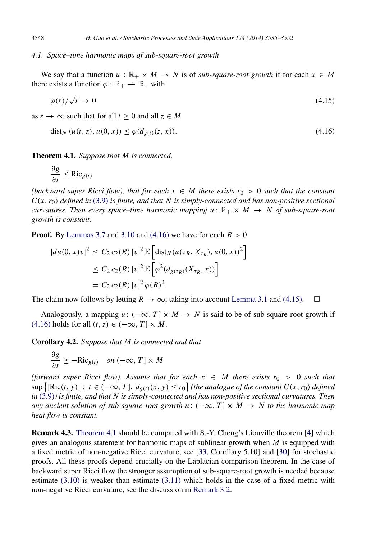## *4.1. Space–time harmonic maps of sub-square-root growth*

We say that a function  $u : \mathbb{R}_+ \times M \to N$  is of *sub-square-root growth* if for each  $x \in M$ there exists a function  $\varphi : \mathbb{R}_+ \to \mathbb{R}_+$  with

<span id="page-13-1"></span>
$$
\varphi(r)/\sqrt{r} \to 0 \tag{4.15}
$$

as  $r \to \infty$  such that for all  $t \geq 0$  and all  $z \in M$ 

<span id="page-13-0"></span>
$$
dist_N(u(t, z), u(0, x)) \le \varphi(d_{g(t)}(z, x)).
$$
\n(4.16)

Theorem 4.1. *Suppose that M is connected,*

<span id="page-13-2"></span>
$$
\frac{\partial g}{\partial t} \le \text{Ric}_{g(t)}
$$

*(backward super Ricci flow), that for each*  $x \in M$  *there exists*  $r_0 > 0$  *such that the constant*  $C(x, r_0)$  *defined in* [\(3.9\)](#page-6-2) *is finite, and that* N *is simply-connected and has non-positive sectional curvatures. Then every space–time harmonic mapping u*:  $\mathbb{R}_+ \times M \rightarrow N$  of sub-square-root *growth is constant.*

**Proof.** By [Lemmas 3.7](#page-8-0) and [3.10](#page-11-0) and [\(4.16\)](#page-13-0) we have for each  $R > 0$ 

$$
|du(0, x)v|^2 \le C_2 c_2(R) |v|^2 \mathbb{E} \left[ \text{dist}_{N}(u(\tau_R, X_{\tau_R}), u(0, x))^2 \right]
$$
  

$$
\le C_2 c_2(R) |v|^2 \mathbb{E} \left[ \varphi^2(d_{g(\tau_R)}(X_{\tau_R}, x)) \right]
$$
  

$$
= C_2 c_2(R) |v|^2 \varphi(R)^2.
$$

The claim now follows by letting  $R \to \infty$ , taking into account [Lemma 3.1](#page-5-1) and [\(4.15\).](#page-13-1)  $\square$ 

Analogously, a mapping  $u: (-\infty, T] \times M \rightarrow N$  is said to be of sub-square-root growth if  $(4.16)$  holds for all  $(t, z) \in (-\infty, T] \times M$ .

Corollary 4.2. *Suppose that M is connected and that*

∂*g*  $\frac{\partial S}{\partial t} \geq -Ric_{g(t)}$  *on*  $(-\infty, T] \times M$ 

*(forward super Ricci flow). Assume that for each*  $x \in M$  *there exists*  $r_0 > 0$  *such that* sup { $\left|\text{Ric}(t, y)\right|$ : *t* ∈ (−∞, *T*],  $d_{g(t)}(x, y) \le r_0$ } (the analogue of the constant  $C(x, r_0)$  defined *in* [\(3.9\)](#page-6-2)*) is finite, and that N is simply-connected and has non-positive sectional curvatures. Then any ancient solution of sub-square-root growth u* :  $(-\infty, T] \times M \rightarrow N$  *to the harmonic map heat flow is constant.*

Remark 4.3. [Theorem 4.1](#page-13-2) should be compared with S.-Y. Cheng's Liouville theorem [\[4\]](#page-16-14) which gives an analogous statement for harmonic maps of sublinear growth when *M* is equipped with a fixed metric of non-negative Ricci curvature, see [\[33,](#page-17-2) Corollary 5.10] and [\[30\]](#page-17-18) for stochastic proofs. All these proofs depend crucially on the Laplacian comparison theorem. In the case of backward super Ricci flow the stronger assumption of sub-square-root growth is needed because estimate [\(3.10\)](#page-6-0) is weaker than estimate [\(3.11\)](#page-6-3) which holds in the case of a fixed metric with non-negative Ricci curvature, see the discussion in [Remark 3.2.](#page-6-4)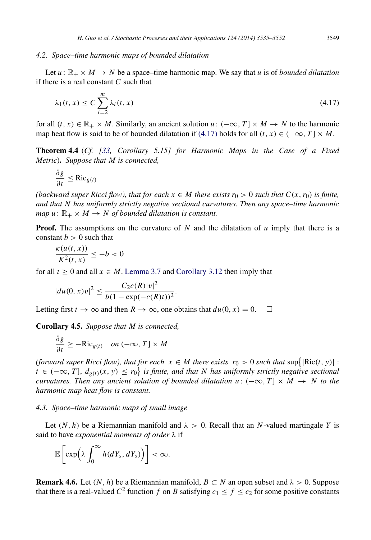## *4.2. Space–time harmonic maps of bounded dilatation*

Let  $u : \mathbb{R}_+ \times M \to N$  be a space–time harmonic map. We say that *u* is of *bounded dilatation* if there is a real constant *C* such that

<span id="page-14-0"></span>
$$
\lambda_1(t,x) \le C \sum_{i=2}^m \lambda_i(t,x) \tag{4.17}
$$

for all  $(t, x) \in \mathbb{R}_+ \times M$ . Similarly, an ancient solution  $u: (-\infty, T] \times M \rightarrow N$  to the harmonic map heat flow is said to be of bounded dilatation if [\(4.17\)](#page-14-0) holds for all  $(t, x) \in (-\infty, T] \times M$ .

Theorem 4.4 (*Cf. [\[33,](#page-17-2) Corollary 5.15] for Harmonic Maps in the Case of a Fixed Metric*). *Suppose that M is connected,*

$$
\frac{\partial g}{\partial t} \leq \text{Ric}_{g(t)}
$$

*(backward super Ricci flow), that for each*  $x \in M$  *there exists*  $r_0 > 0$  *such that*  $C(x, r_0)$  *is finite, and that N has uniformly strictly negative sectional curvatures. Then any space–time harmonic map*  $u : \mathbb{R}_+ \times M \to N$  *of bounded dilatation is constant.* 

**Proof.** The assumptions on the curvature of  $N$  and the dilatation of  $u$  imply that there is a constant  $b > 0$  such that

$$
\frac{\kappa(u(t,x))}{K^2(t,x)} \le -b < 0
$$

for all  $t \ge 0$  and all  $x \in M$ . [Lemma 3.7](#page-8-0) and [Corollary 3.12](#page-12-0) then imply that

$$
|du(0, x)v|^2 \leq \frac{C_2c(R)|v|^2}{b(1-\exp(-c(R)t))^2}.
$$

Letting first  $t \to \infty$  and then  $R \to \infty$ , one obtains that  $du(0, x) = 0$ .

Corollary 4.5. *Suppose that M is connected,*

$$
\frac{\partial g}{\partial t} \ge -\text{Ric}_{g(t)} \quad on \, (-\infty, T] \times M
$$

*(forward super Ricci flow), that for each*  $x \in M$  *there exists*  $r_0 > 0$  *such that*  $\sup\{|Ric(t, y)|$  : *t* ∈ (−∞, *T*],  $d_{g(t)}(x, y) \leq r_0$  is finite, and that N has uniformly strictly negative sectional *curvatures. Then any ancient solution of bounded dilatation u:*  $(-\infty, T] \times M \rightarrow N$  to the *harmonic map heat flow is constant.*

## *4.3. Space–time harmonic maps of small image*

Let  $(N, h)$  be a Riemannian manifold and  $\lambda > 0$ . Recall that an *N*-valued martingale *Y* is said to have *exponential moments of order* λ if

<span id="page-14-1"></span>
$$
\mathbb{E}\left[\exp\left(\lambda \int_0^\infty h(dY_s, dY_s)\right)\right] < \infty.
$$

**Remark 4.6.** Let  $(N, h)$  be a Riemannian manifold,  $B \subset N$  an open subset and  $\lambda > 0$ . Suppose that there is a real-valued  $C^2$  function  $f$  on  $B$  satisfying  $c_1 \le f \le c_2$  for some positive constants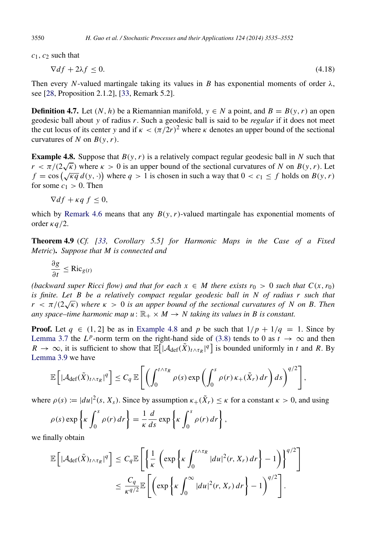3550 *H. Guo et al. / Stochastic Processes and their Applications 124 (2014) 3535–3552*

*c*1, *c*<sup>2</sup> such that

$$
\nabla df + 2\lambda f \le 0. \tag{4.18}
$$

Then every *N*-valued martingale taking its values in *B* has exponential moments of order  $\lambda$ , see [\[28,](#page-17-19) Proposition 2.1.2], [\[33,](#page-17-2) Remark 5.2].

**Definition 4.7.** Let  $(N, h)$  be a Riemannian manifold,  $y \in N$  a point, and  $B = B(y, r)$  an open geodesic ball about *y* of radius *r*. Such a geodesic ball is said to be *regular* if it does not meet the cut locus of its center *y* and if  $\kappa < (\pi/2r)^2$  where  $\kappa$  denotes an upper bound of the sectional curvatures of *N* on  $B(y, r)$ .

<span id="page-15-0"></span>**Example 4.8.** Suppose that  $B(y, r)$  is a relatively compact regular geodesic ball in *N* such that  $r < \pi/(2\sqrt{\kappa})$  where  $\kappa > 0$  is an upper bound of the sectional curvatures of *N* on  $B(y, r)$ . Let  $f = \cos(\sqrt{\kappa q} d(y, \cdot))$  where  $q > 1$  is chosen in such a way that  $0 < c_1 \le f$  holds on  $B(y, r)$ for some  $c_1 > 0$ . Then

 $\nabla df + \kappa q f \leq 0$ ,

which by [Remark 4.6](#page-14-1) means that any  $B(y, r)$ -valued martingale has exponential moments of order  $\kappa q/2$ .

Theorem 4.9 (*Cf. [\[33,](#page-17-2) Corollary 5.5] for Harmonic Maps in the Case of a Fixed Metric*). *Suppose that M is connected and*

$$
\frac{\partial g}{\partial t} \le \text{Ric}_{g(t)}
$$

*(backward super Ricci flow) and that for each*  $x \in M$  *there exists*  $r_0 > 0$  *such that*  $C(x, r_0)$ *is finite. Let B be a relatively compact regular geodesic ball in N of radius r such that*  $r \leq \pi/(2\sqrt{\kappa})$  where  $\kappa > 0$  is an upper bound of the sectional curvatures of N on B. Then *any space–time harmonic map u* :  $\mathbb{R}_+ \times M \to N$  taking its values in B is constant.

**Proof.** Let  $q \in (1, 2]$  be as in [Example 4.8](#page-15-0) and p be such that  $1/p + 1/q = 1$ . Since by [Lemma 3.7](#page-8-0) the  $L^p$ -norm term on the right-hand side of [\(3.8\)](#page-5-0) tends to 0 as  $t \to \infty$  and then  $R \to \infty$ , it is sufficient to show that  $\mathbb{E} \left[ [\mathcal{A}_{\text{def}}(\tilde{X})_{t \wedge \tau_R} |^q] \right]$  is bounded uniformly in *t* and *R*. By [Lemma 3.9](#page-11-1) we have

$$
\mathbb{E}\left[|\mathcal{A}_{\text{def}}(\tilde{X})_{t\wedge\tau_R}|^q\right]\leq C_q\,\mathbb{E}\left[\left(\int_0^{t\wedge\tau_R}\rho(s)\exp\left(\int_0^s\rho(r)\,\kappa_+(\tilde{X}_r)\,dr\right)ds\right)^{q/2}\right],
$$

where  $\rho(s) := |du|^2(s, X_s)$ . Since by assumption  $\kappa_+(\tilde{X}_r) \leq \kappa$  for a constant  $\kappa > 0$ , and using

$$
\rho(s) \exp\left\{\kappa \int_0^s \rho(r) dr\right\} = \frac{1}{\kappa} \frac{d}{ds} \exp\left\{\kappa \int_0^s \rho(r) dr\right\},\,
$$

we finally obtain

$$
\mathbb{E}\left[|\mathcal{A}_{\text{def}}(\tilde{X})_{t\wedge\tau_R}|^q\right] \leq C_q \mathbb{E}\left[\left\{\frac{1}{\kappa}\left(\exp\left\{\kappa \int_0^{t\wedge\tau_R} |du|^2(r,X_r)\,dr\right\}-1\right)\right\}^{q/2}\right] \leq \frac{C_q}{\kappa^{q/2}} \mathbb{E}\left[\left(\exp\left\{\kappa \int_0^\infty |du|^2(r,X_r)\,dr\right\}-1\right)^{q/2}\right].
$$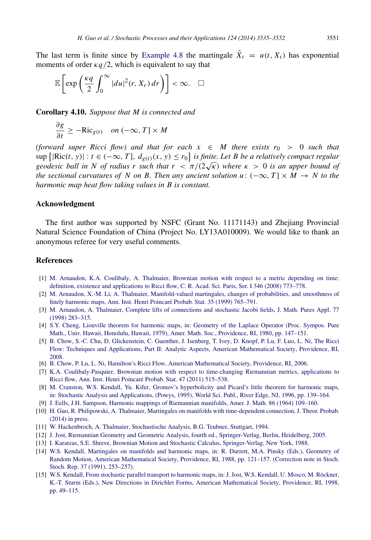$$
\mathbb{E}\left[\exp\left(\frac{\kappa q}{2}\int_0^\infty |du|^2(r,X_r)\,dr\right)\right]<\infty.\quad \Box
$$

Corollary 4.10. *Suppose that M is connected and*

$$
\frac{\partial g}{\partial t} \ge -\text{Ric}_{g(t)} \quad on \, (-\infty, T] \times M
$$

*(forward super Ricci flow) and that for each*  $x \in M$  *there exists r<sub>0</sub> > 0 such that*  $\sup \{|Ric(t, y)| : t \in (-\infty, T], d_{g(t)}(x, y) \leq r_0\}$  is finite. Let B be a relatively compact regular *geodesic ball in* N of radius r such that  $r < \pi/(2\sqrt{\kappa})$  where  $\kappa > 0$  is an upper bound of *the sectional curvatures of N on B. Then any ancient solution u*:  $(-\infty, T] \times M \rightarrow N$  to the *harmonic map heat flow taking values in B is constant.*

#### Acknowledgment

The first author was supported by NSFC (Grant No. 11171143) and Zhejiang Provincial Natural Science Foundation of China (Project No. LY13A010009). We would like to thank an anonymous referee for very useful comments.

## References

- <span id="page-16-8"></span>[1] M. [Arnaudon, K.A. Coulibaly, A. Thalmaier, Brownian motion with respect to a metric depending on time:](http://refhub.elsevier.com/S0304-4149(14)00134-3/sbref1) definition, existence and applications to Ricci flow, C. R. Acad. Sci. Paris, Ser. I 346 (2008) 773–778.
- <span id="page-16-2"></span>[2] M. [Arnaudon, X.-M. Li, A. Thalmaier, Manifold-valued martingales, changes of probabilities, and smoothness of](http://refhub.elsevier.com/S0304-4149(14)00134-3/sbref2) finely harmonic maps, Ann. Inst. Henri Poincaré Probab. Stat. 35 (1999) 765-791.
- <span id="page-16-10"></span>[3] M. [Arnaudon, A. Thalmaier, Complete lifts of connections and stochastic Jacobi fields, J. Math. Pures Appl. 77](http://refhub.elsevier.com/S0304-4149(14)00134-3/sbref3) (1998) 283–315.
- <span id="page-16-14"></span>[4] S.[Y. Cheng, Liouville theorem for harmonic maps, in: Geometry of the Laplace Operator \(Proc. Sympos. Pure](http://refhub.elsevier.com/S0304-4149(14)00134-3/sbref4) Math., Univ. Hawaii, Honolulu, Hawaii, 1979), Amer. Math. Soc., Providence, RI, 1980, pp. 147–151.
- <span id="page-16-6"></span>[5] B. [Chow, S.-C. Chu, D. Glickenstein, C. Guenther, J. Isenberg, T. Ivey, D. Knopf, P. Lu, F. Luo, L. Ni, The Ricci](http://refhub.elsevier.com/S0304-4149(14)00134-3/sbref5) Flow: Techniques and Applications, Part II: Analytic Aspects, American Mathematical Society, Providence, RI, 2008.
- <span id="page-16-12"></span>[6] B. [Chow, P. Lu, L. Ni, Hamilton's Ricci Flow, American Mathematical Society, Providence, RI, 2006.](http://refhub.elsevier.com/S0304-4149(14)00134-3/sbref6)
- <span id="page-16-9"></span>[7] K.[A. Coulibaly-Pasquier, Brownian motion with respect to time-changing Riemannian metrics, applications to](http://refhub.elsevier.com/S0304-4149(14)00134-3/sbref7) Ricci flow, Ann. Inst. Henri Poincaré Probab. Stat. 47 (2011) 515–538.
- <span id="page-16-3"></span>[8] M. [Cranston, W.S. Kendall, Yu. Kifer, Gromov's hyperbolicity and Picard's little theorem for harmonic maps,](http://refhub.elsevier.com/S0304-4149(14)00134-3/sbref8) in: Stochastic Analysis and Applications, (Powys, 1995), World Sci. Publ., River Edge, NJ, 1996, pp. 139–164.
- <span id="page-16-0"></span>[9] J. [Eells, J.H. Sampson, Harmonic mappings of Riemannian manifolds, Amer. J. Math. 86 \(1964\) 109–160.](http://refhub.elsevier.com/S0304-4149(14)00134-3/sbref9)
- <span id="page-16-7"></span>[10] H. [Guo, R. Philipowski, A. Thalmaier, Martingales on manifolds with time-dependent connection, J. Theor. Probab.](http://refhub.elsevier.com/S0304-4149(14)00134-3/sbref10) (2014) in press.
- <span id="page-16-1"></span>[11] W. [Hackenbroch, A. Thalmaier, Stochastische Analysis, B.G. Teubner, Stuttgart, 1994.](http://refhub.elsevier.com/S0304-4149(14)00134-3/sbref11)
- <span id="page-16-13"></span>[12] J. J[ost, Riemannian Geometry and Geometric Analysis, fourth ed., Springer-Verlag, Berlin, Heidelberg, 2005.](http://refhub.elsevier.com/S0304-4149(14)00134-3/sbref12)
- <span id="page-16-11"></span>[13] I. [Karatzas, S.E. Shreve, Brownian Motion and Stochastic Calculus, Springer-Verlag, New York, 1988.](http://refhub.elsevier.com/S0304-4149(14)00134-3/sbref13)
- <span id="page-16-4"></span>[14] W.[S. Kendall, Martingales on manifolds and harmonic maps, in: R. Durrett, M.A. Pinsky \(Eds.\), Geometry of](http://refhub.elsevier.com/S0304-4149(14)00134-3/sbref14) Random Motion, American Mathematical Society, Providence, RI, 1988, pp. 121–157. (Correction note in Stoch. Stoch. Rep. 37 (1991), 253–257).
- <span id="page-16-5"></span>[15] W.S. Kendall, From stochastic parallel transport to harmonic maps, in: J. Jost, W.S. Kendall, U. Mosco, M. Röckner, K.-T. Sturm (Eds.), New Directions in Dirichlet Forms, American Mathematical Society, Providence, RI, 1998, pp. 49–115.